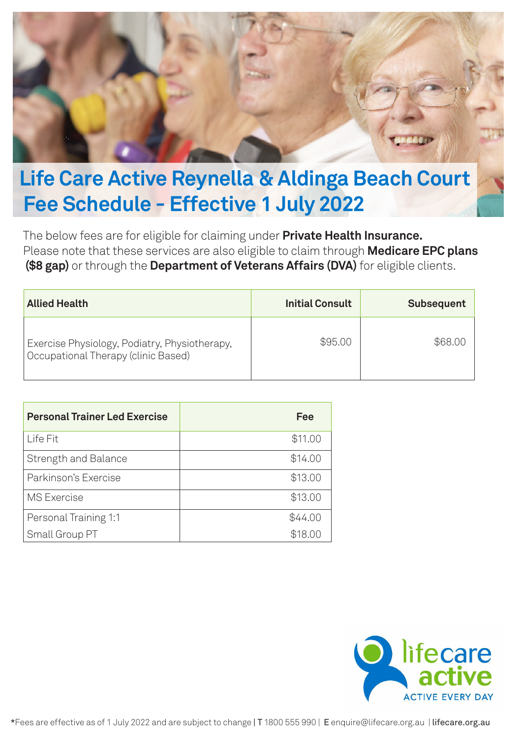

## **Life Care Active Reynella & Aldinga Beach Court Fee Schedule - Effective 1 July 2022**

The below fees are for eligible for claiming under **Private Health Insurance.** Please note that these services are also eligible to claim through **Medicare EPC plans (\$8 gap)** or through the **Department of Veterans Affairs (DVA)** for eligible clients.

| <b>Allied Health</b>                                                                 | <b>Initial Consult</b> | <b>Subsequent</b> |
|--------------------------------------------------------------------------------------|------------------------|-------------------|
| Exercise Physiology, Podiatry, Physiotherapy,<br>Occupational Therapy (clinic Based) | \$95.00                | \$68.00           |

| <b>Personal Trainer Led Exercise</b> | Fee     |
|--------------------------------------|---------|
| Life Fit                             | \$11.00 |
| Strength and Balance                 | \$14.00 |
| Parkinson's Exercise                 | \$13.00 |
| <b>MS</b> Exercise                   | \$13.00 |
| Personal Training 1:1                | \$44.00 |
| Small Group PT                       | \$18.00 |